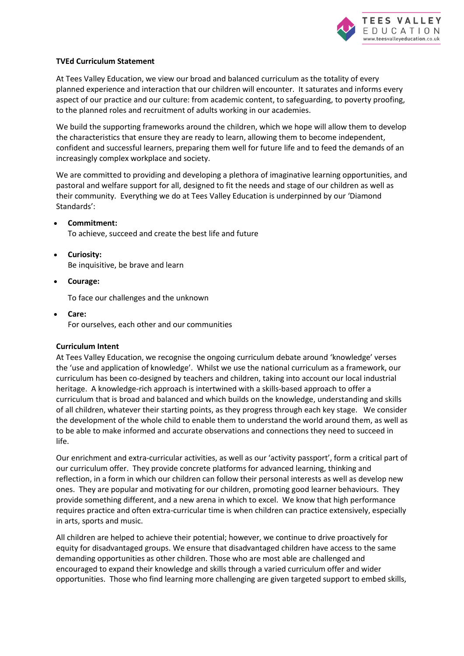

### **TVEd Curriculum Statement**

At Tees Valley Education, we view our broad and balanced curriculum as the totality of every planned experience and interaction that our children will encounter. It saturates and informs every aspect of our practice and our culture: from academic content, to safeguarding, to poverty proofing, to the planned roles and recruitment of adults working in our academies.

We build the supporting frameworks around the children, which we hope will allow them to develop the characteristics that ensure they are ready to learn, allowing them to become independent, confident and successful learners, preparing them well for future life and to feed the demands of an increasingly complex workplace and society.

We are committed to providing and developing a plethora of imaginative learning opportunities, and pastoral and welfare support for all, designed to fit the needs and stage of our children as well as their community. Everything we do at Tees Valley Education is underpinned by our 'Diamond Standards':

- **Commitment:** To achieve, succeed and create the best life and future
- **Curiosity:** Be inquisitive, be brave and learn
- **Courage:**

To face our challenges and the unknown

 **Care:** For ourselves, each other and our communities

# **Curriculum Intent**

At Tees Valley Education, we recognise the ongoing curriculum debate around 'knowledge' verses the 'use and application of knowledge'. Whilst we use the national curriculum as a framework, our curriculum has been co-designed by teachers and children, taking into account our local industrial heritage. A knowledge-rich approach is intertwined with a skills-based approach to offer a curriculum that is broad and balanced and which builds on the knowledge, understanding and skills of all children, whatever their starting points, as they progress through each key stage. We consider the development of the whole child to enable them to understand the world around them, as well as to be able to make informed and accurate observations and connections they need to succeed in life.

Our enrichment and extra-curricular activities, as well as our 'activity passport', form a critical part of our curriculum offer. They provide concrete platforms for advanced learning, thinking and reflection, in a form in which our children can follow their personal interests as well as develop new ones. They are popular and motivating for our children, promoting good learner behaviours. They provide something different, and a new arena in which to excel. We know that high performance requires practice and often extra-curricular time is when children can practice extensively, especially in arts, sports and music.

All children are helped to achieve their potential; however, we continue to drive proactively for equity for disadvantaged groups. We ensure that disadvantaged children have access to the same demanding opportunities as other children. Those who are most able are challenged and encouraged to expand their knowledge and skills through a varied curriculum offer and wider opportunities. Those who find learning more challenging are given targeted support to embed skills,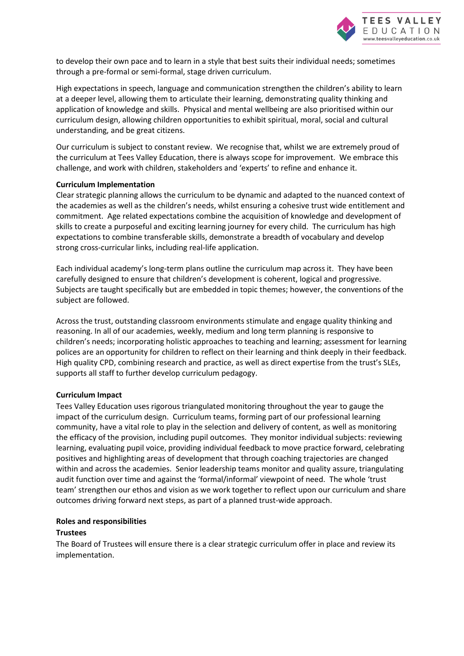

to develop their own pace and to learn in a style that best suits their individual needs; sometimes through a pre-formal or semi-formal, stage driven curriculum.

High expectations in speech, language and communication strengthen the children's ability to learn at a deeper level, allowing them to articulate their learning, demonstrating quality thinking and application of knowledge and skills. Physical and mental wellbeing are also prioritised within our curriculum design, allowing children opportunities to exhibit spiritual, moral, social and cultural understanding, and be great citizens.

Our curriculum is subject to constant review. We recognise that, whilst we are extremely proud of the curriculum at Tees Valley Education, there is always scope for improvement. We embrace this challenge, and work with children, stakeholders and 'experts' to refine and enhance it.

#### **Curriculum Implementation**

Clear strategic planning allows the curriculum to be dynamic and adapted to the nuanced context of the academies as well as the children's needs, whilst ensuring a cohesive trust wide entitlement and commitment. Age related expectations combine the acquisition of knowledge and development of skills to create a purposeful and exciting learning journey for every child. The curriculum has high expectations to combine transferable skills, demonstrate a breadth of vocabulary and develop strong cross-curricular links, including real-life application.

Each individual academy's long-term plans outline the curriculum map across it. They have been carefully designed to ensure that children's development is coherent, logical and progressive. Subjects are taught specifically but are embedded in topic themes; however, the conventions of the subject are followed.

Across the trust, outstanding classroom environments stimulate and engage quality thinking and reasoning. In all of our academies, weekly, medium and long term planning is responsive to children's needs; incorporating holistic approaches to teaching and learning; assessment for learning polices are an opportunity for children to reflect on their learning and think deeply in their feedback. High quality CPD, combining research and practice, as well as direct expertise from the trust's SLEs, supports all staff to further develop curriculum pedagogy.

#### **Curriculum Impact**

Tees Valley Education uses rigorous triangulated monitoring throughout the year to gauge the impact of the curriculum design. Curriculum teams, forming part of our professional learning community, have a vital role to play in the selection and delivery of content, as well as monitoring the efficacy of the provision, including pupil outcomes. They monitor individual subjects: reviewing learning, evaluating pupil voice, providing individual feedback to move practice forward, celebrating positives and highlighting areas of development that through coaching trajectories are changed within and across the academies. Senior leadership teams monitor and quality assure, triangulating audit function over time and against the 'formal/informal' viewpoint of need. The whole 'trust team' strengthen our ethos and vision as we work together to reflect upon our curriculum and share outcomes driving forward next steps, as part of a planned trust-wide approach.

### **Roles and responsibilities**

#### **Trustees**

The Board of Trustees will ensure there is a clear strategic curriculum offer in place and review its implementation.